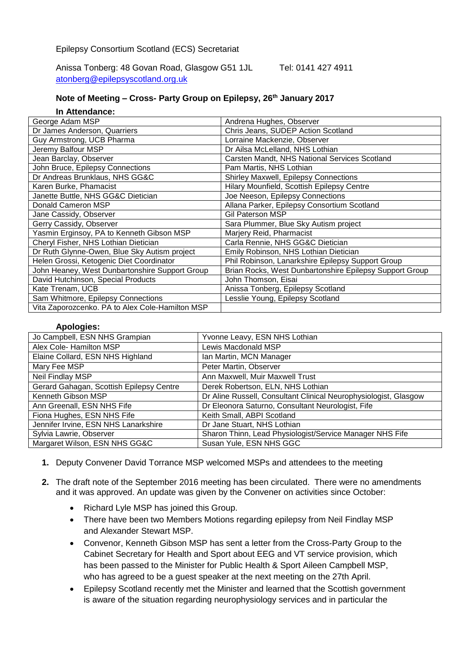## Epilepsy Consortium Scotland (ECS) Secretariat

Anissa Tonberg: 48 Govan Road, Glasgow G51 1JL Tel: 0141 427 4911 [atonberg@epilepsyscotland.org.uk](mailto:atonberg@epilepsyscotland.org.uk)

# **Note of Meeting – Cross- Party Group on Epilepsy, 26th January 2017**

## **In Attendance:**

| George Adam MSP                                 | Andrena Hughes, Observer                                |
|-------------------------------------------------|---------------------------------------------------------|
| Dr James Anderson, Quarriers                    | Chris Jeans, SUDEP Action Scotland                      |
| Guy Armstrong, UCB Pharma                       | Lorraine Mackenzie, Observer                            |
| Jeremy Balfour MSP                              | Dr Ailsa McLelland, NHS Lothian                         |
| Jean Barclay, Observer                          | Carsten Mandt, NHS National Services Scotland           |
| John Bruce, Epilepsy Connections                | Pam Martis, NHS Lothian                                 |
| Dr Andreas Brunklaus, NHS GG&C                  | Shirley Maxwell, Epilepsy Connections                   |
| Karen Burke, Phamacist                          | Hilary Mounfield, Scottish Epilepsy Centre              |
| Janette Buttle, NHS GG&C Dietician              | Joe Neeson, Epilepsy Connections                        |
| Donald Cameron MSP                              | Allana Parker, Epilepsy Consortium Scotland             |
| Jane Cassidy, Observer                          | <b>Gil Paterson MSP</b>                                 |
| Gerry Cassidy, Observer                         | Sara Plummer, Blue Sky Autism project                   |
| Yasmin Erginsoy, PA to Kenneth Gibson MSP       | Marjery Reid, Pharmacist                                |
| Cheryl Fisher, NHS Lothian Dietician            | Carla Rennie, NHS GG&C Dietician                        |
| Dr Ruth Glynne-Owen, Blue Sky Autism project    | Emily Robinson, NHS Lothian Dietician                   |
| Helen Grossi, Ketogenic Diet Coordinator        | Phil Robinson, Lanarkshire Epilepsy Support Group       |
| John Heaney, West Dunbartonshire Support Group  | Brian Rocks, West Dunbartonshire Epilepsy Support Group |
| David Hutchinson, Special Products              | John Thomson, Eisai                                     |
| Kate Trenam, UCB                                | Anissa Tonberg, Epilepsy Scotland                       |
| Sam Whitmore, Epilepsy Connections              | Lesslie Young, Epilepsy Scotland                        |
| Vita Zaporozcenko. PA to Alex Cole-Hamilton MSP |                                                         |

## **Apologies:**

| Jo Campbell, ESN NHS Grampian            | Yvonne Leavy, ESN NHS Lothian                                    |
|------------------------------------------|------------------------------------------------------------------|
| Alex Cole- Hamilton MSP                  | Lewis Macdonald MSP                                              |
| Elaine Collard, ESN NHS Highland         | Ian Martin, MCN Manager                                          |
| Mary Fee MSP                             | Peter Martin, Observer                                           |
| Neil Findlay MSP                         | Ann Maxwell, Muir Maxwell Trust                                  |
| Gerard Gahagan, Scottish Epilepsy Centre | Derek Robertson, ELN, NHS Lothian                                |
| Kenneth Gibson MSP                       | Dr Aline Russell, Consultant Clinical Neurophysiologist, Glasgow |
| Ann Greenall, ESN NHS Fife               | Dr Eleonora Saturno, Consultant Neurologist, Fife                |
| Fiona Hughes, ESN NHS Fife               | Keith Small, ABPI Scotland                                       |
| Jennifer Irvine, ESN NHS Lanarkshire     | Dr Jane Stuart, NHS Lothian                                      |
| Sylvia Lawrie, Observer                  | Sharon Thinn, Lead Physiologist/Service Manager NHS Fife         |
| Margaret Wilson, ESN NHS GG&C            | Susan Yule, ESN NHS GGC                                          |

- **1.** Deputy Convener David Torrance MSP welcomed MSPs and attendees to the meeting
- **2.** The draft note of the September 2016 meeting has been circulated. There were no amendments and it was approved. An update was given by the Convener on activities since October:
	- Richard Lyle MSP has joined this Group.
	- There have been two Members Motions regarding epilepsy from Neil Findlay MSP and Alexander Stewart MSP.
	- Convenor, Kenneth Gibson MSP has sent a letter from the Cross-Party Group to the Cabinet Secretary for Health and Sport about EEG and VT service provision, which has been passed to the Minister for Public Health & Sport Aileen Campbell MSP, who has agreed to be a guest speaker at the next meeting on the 27th April.
	- Epilepsy Scotland recently met the Minister and learned that the Scottish government is aware of the situation regarding neurophysiology services and in particular the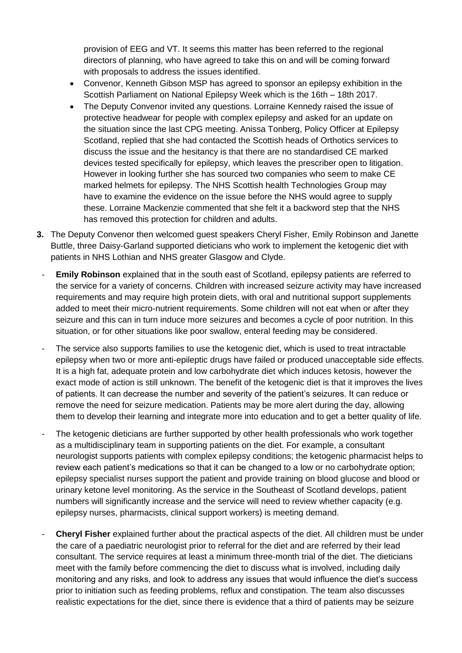provision of EEG and VT. It seems this matter has been referred to the regional directors of planning, who have agreed to take this on and will be coming forward with proposals to address the issues identified.

- Convenor, Kenneth Gibson MSP has agreed to sponsor an epilepsy exhibition in the Scottish Parliament on National Epilepsy Week which is the 16th – 18th 2017.
- The Deputy Convenor invited any questions. Lorraine Kennedy raised the issue of protective headwear for people with complex epilepsy and asked for an update on the situation since the last CPG meeting. Anissa Tonberg, Policy Officer at Epilepsy Scotland, replied that she had contacted the Scottish heads of Orthotics services to discuss the issue and the hesitancy is that there are no standardised CE marked devices tested specifically for epilepsy, which leaves the prescriber open to litigation. However in looking further she has sourced two companies who seem to make CE marked helmets for epilepsy. The NHS Scottish health Technologies Group may have to examine the evidence on the issue before the NHS would agree to supply these. Lorraine Mackenzie commented that she felt it a backword step that the NHS has removed this protection for children and adults.
- **3.** The Deputy Convenor then welcomed guest speakers Cheryl Fisher, Emily Robinson and Janette Buttle, three Daisy-Garland supported dieticians who work to implement the ketogenic diet with patients in NHS Lothian and NHS greater Glasgow and Clyde.
- **Emily Robinson** explained that in the south east of Scotland, epilepsy patients are referred to the service for a variety of concerns. Children with increased seizure activity may have increased requirements and may require high protein diets, with oral and nutritional support supplements added to meet their micro-nutrient requirements. Some children will not eat when or after they seizure and this can in turn induce more seizures and becomes a cycle of poor nutrition. In this situation, or for other situations like poor swallow, enteral feeding may be considered.
- The service also supports families to use the ketogenic diet, which is used to treat intractable epilepsy when two or more anti-epileptic drugs have failed or produced unacceptable side effects. It is a high fat, adequate protein and low carbohydrate diet which induces ketosis, however the exact mode of action is still unknown. The benefit of the ketogenic diet is that it improves the lives of patients. It can decrease the number and severity of the patient's seizures. It can reduce or remove the need for seizure medication. Patients may be more alert during the day, allowing them to develop their learning and integrate more into education and to get a better quality of life.
- The ketogenic dieticians are further supported by other health professionals who work together as a multidisciplinary team in supporting patients on the diet. For example, a consultant neurologist supports patients with complex epilepsy conditions; the ketogenic pharmacist helps to review each patient's medications so that it can be changed to a low or no carbohydrate option; epilepsy specialist nurses support the patient and provide training on blood glucose and blood or urinary ketone level monitoring. As the service in the Southeast of Scotland develops, patient numbers will significantly increase and the service will need to review whether capacity (e.g. epilepsy nurses, pharmacists, clinical support workers) is meeting demand.
- **Cheryl Fisher** explained further about the practical aspects of the diet. All children must be under the care of a paediatric neurologist prior to referral for the diet and are referred by their lead consultant. The service requires at least a minimum three-month trial of the diet. The dieticians meet with the family before commencing the diet to discuss what is involved, including daily monitoring and any risks, and look to address any issues that would influence the diet's success prior to initiation such as feeding problems, reflux and constipation. The team also discusses realistic expectations for the diet, since there is evidence that a third of patients may be seizure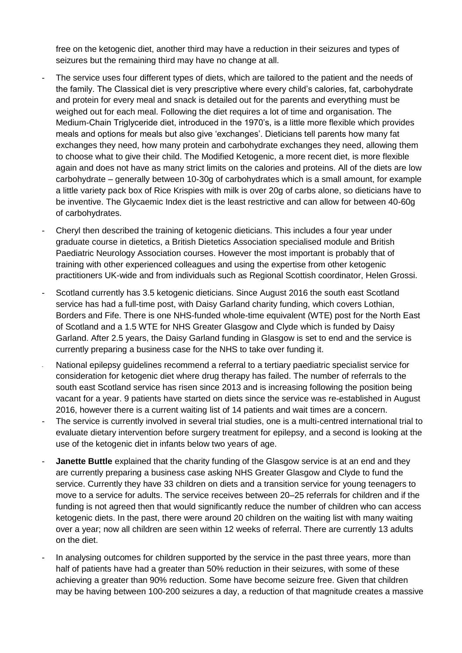free on the ketogenic diet, another third may have a reduction in their seizures and types of seizures but the remaining third may have no change at all.

- The service uses four different types of diets, which are tailored to the patient and the needs of the family. The Classical diet is very prescriptive where every child's calories, fat, carbohydrate and protein for every meal and snack is detailed out for the parents and everything must be weighed out for each meal. Following the diet requires a lot of time and organisation. The Medium-Chain Triglyceride diet, introduced in the 1970's, is a little more flexible which provides meals and options for meals but also give 'exchanges'. Dieticians tell parents how many fat exchanges they need, how many protein and carbohydrate exchanges they need, allowing them to choose what to give their child. The Modified Ketogenic, a more recent diet, is more flexible again and does not have as many strict limits on the calories and proteins. All of the diets are low carbohydrate – generally between 10-30g of carbohydrates which is a small amount, for example a little variety pack box of Rice Krispies with milk is over 20g of carbs alone, so dieticians have to be inventive. The Glycaemic Index diet is the least restrictive and can allow for between 40-60g of carbohydrates.
- Cheryl then described the training of ketogenic dieticians. This includes a four year under graduate course in dietetics, a British Dietetics Association specialised module and British Paediatric Neurology Association courses. However the most important is probably that of training with other experienced colleagues and using the expertise from other ketogenic practitioners UK-wide and from individuals such as Regional Scottish coordinator, Helen Grossi.
- Scotland currently has 3.5 ketogenic dieticians. Since August 2016 the south east Scotland service has had a full-time post, with Daisy Garland charity funding, which covers Lothian, Borders and Fife. There is one NHS-funded whole-time equivalent (WTE) post for the North East of Scotland and a 1.5 WTE for NHS Greater Glasgow and Clyde which is funded by Daisy Garland. After 2.5 years, the Daisy Garland funding in Glasgow is set to end and the service is currently preparing a business case for the NHS to take over funding it.
- National epilepsy guidelines recommend a referral to a tertiary paediatric specialist service for consideration for ketogenic diet where drug therapy has failed. The number of referrals to the south east Scotland service has risen since 2013 and is increasing following the position being vacant for a year. 9 patients have started on diets since the service was re-established in August 2016, however there is a current waiting list of 14 patients and wait times are a concern.
- The service is currently involved in several trial studies, one is a multi-centred international trial to evaluate dietary intervention before surgery treatment for epilepsy, and a second is looking at the use of the ketogenic diet in infants below two years of age.
- **Janette Buttle** explained that the charity funding of the Glasgow service is at an end and they are currently preparing a business case asking NHS Greater Glasgow and Clyde to fund the service. Currently they have 33 children on diets and a transition service for young teenagers to move to a service for adults. The service receives between 20–25 referrals for children and if the funding is not agreed then that would significantly reduce the number of children who can access ketogenic diets. In the past, there were around 20 children on the waiting list with many waiting over a year; now all children are seen within 12 weeks of referral. There are currently 13 adults on the diet.
- In analysing outcomes for children supported by the service in the past three years, more than half of patients have had a greater than 50% reduction in their seizures, with some of these achieving a greater than 90% reduction. Some have become seizure free. Given that children may be having between 100-200 seizures a day, a reduction of that magnitude creates a massive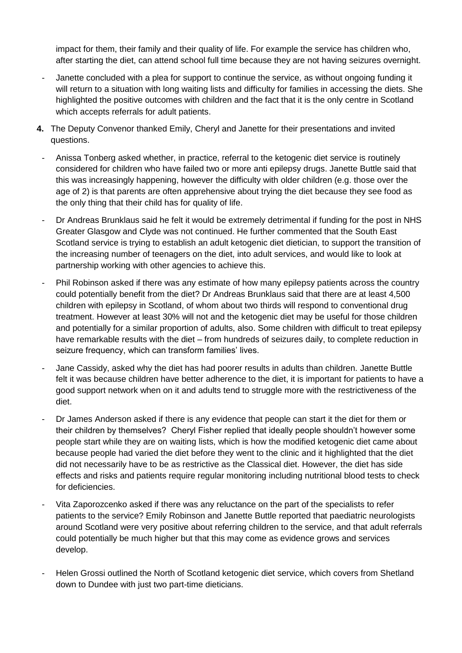impact for them, their family and their quality of life. For example the service has children who, after starting the diet, can attend school full time because they are not having seizures overnight.

- Janette concluded with a plea for support to continue the service, as without ongoing funding it will return to a situation with long waiting lists and difficulty for families in accessing the diets. She highlighted the positive outcomes with children and the fact that it is the only centre in Scotland which accepts referrals for adult patients.
- **4.** The Deputy Convenor thanked Emily, Cheryl and Janette for their presentations and invited questions.
- Anissa Tonberg asked whether, in practice, referral to the ketogenic diet service is routinely considered for children who have failed two or more anti epilepsy drugs. Janette Buttle said that this was increasingly happening, however the difficulty with older children (e.g. those over the age of 2) is that parents are often apprehensive about trying the diet because they see food as the only thing that their child has for quality of life.
- Dr Andreas Brunklaus said he felt it would be extremely detrimental if funding for the post in NHS Greater Glasgow and Clyde was not continued. He further commented that the South East Scotland service is trying to establish an adult ketogenic diet dietician, to support the transition of the increasing number of teenagers on the diet, into adult services, and would like to look at partnership working with other agencies to achieve this.
- Phil Robinson asked if there was any estimate of how many epilepsy patients across the country could potentially benefit from the diet? Dr Andreas Brunklaus said that there are at least 4,500 children with epilepsy in Scotland, of whom about two thirds will respond to conventional drug treatment. However at least 30% will not and the ketogenic diet may be useful for those children and potentially for a similar proportion of adults, also. Some children with difficult to treat epilepsy have remarkable results with the diet – from hundreds of seizures daily, to complete reduction in seizure frequency, which can transform families' lives.
- Jane Cassidy, asked why the diet has had poorer results in adults than children. Janette Buttle felt it was because children have better adherence to the diet, it is important for patients to have a good support network when on it and adults tend to struggle more with the restrictiveness of the diet.
- Dr James Anderson asked if there is any evidence that people can start it the diet for them or their children by themselves? Cheryl Fisher replied that ideally people shouldn't however some people start while they are on waiting lists, which is how the modified ketogenic diet came about because people had varied the diet before they went to the clinic and it highlighted that the diet did not necessarily have to be as restrictive as the Classical diet. However, the diet has side effects and risks and patients require regular monitoring including nutritional blood tests to check for deficiencies.
- Vita Zaporozcenko asked if there was any reluctance on the part of the specialists to refer patients to the service? Emily Robinson and Janette Buttle reported that paediatric neurologists around Scotland were very positive about referring children to the service, and that adult referrals could potentially be much higher but that this may come as evidence grows and services develop.
- Helen Grossi outlined the North of Scotland ketogenic diet service, which covers from Shetland down to Dundee with just two part-time dieticians.